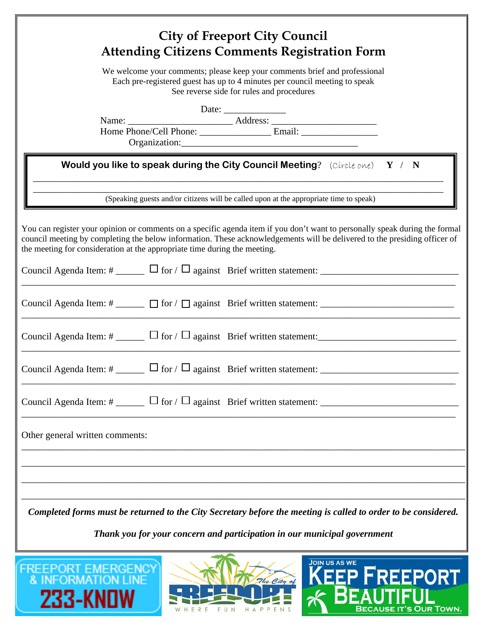|                                                                          | <b>City of Freeport City Council</b><br><b>Attending Citizens Comments Registration Form</b>                                                                                                                                                                                                                                          |
|--------------------------------------------------------------------------|---------------------------------------------------------------------------------------------------------------------------------------------------------------------------------------------------------------------------------------------------------------------------------------------------------------------------------------|
|                                                                          | We welcome your comments; please keep your comments brief and professional<br>Each pre-registered guest has up to 4 minutes per council meeting to speak<br>See reverse side for rules and procedures                                                                                                                                 |
|                                                                          |                                                                                                                                                                                                                                                                                                                                       |
|                                                                          | <b>Would you like to speak during the City Council Meeting</b> ? (Circle one) $Y / N$                                                                                                                                                                                                                                                 |
|                                                                          | (Speaking guests and/or citizens will be called upon at the appropriate time to speak)                                                                                                                                                                                                                                                |
|                                                                          | You can register your opinion or comments on a specific agenda item if you don't want to personally speak during the formal<br>council meeting by completing the below information. These acknowledgements will be delivered to the presiding officer of<br>the meeting for consideration at the appropriate time during the meeting. |
|                                                                          |                                                                                                                                                                                                                                                                                                                                       |
|                                                                          |                                                                                                                                                                                                                                                                                                                                       |
|                                                                          | Council Agenda Item: $\#$ _______ $\Box$ for $\Box$ against Brief written statement:                                                                                                                                                                                                                                                  |
|                                                                          | Council Agenda Item: # $\Box$ for $\Box$ against Brief written statement: $\Box$                                                                                                                                                                                                                                                      |
|                                                                          | Council Agenda Item: # $\Box$ for $\Box$ against Brief written statement: $\Box$                                                                                                                                                                                                                                                      |
| Other general written comments:                                          |                                                                                                                                                                                                                                                                                                                                       |
|                                                                          |                                                                                                                                                                                                                                                                                                                                       |
|                                                                          |                                                                                                                                                                                                                                                                                                                                       |
|                                                                          | Completed forms must be returned to the City Secretary before the meeting is called to order to be considered.                                                                                                                                                                                                                        |
| Thank you for your concern and participation in our municipal government |                                                                                                                                                                                                                                                                                                                                       |
|                                                                          | <b>JOIN US AS WE</b>                                                                                                                                                                                                                                                                                                                  |